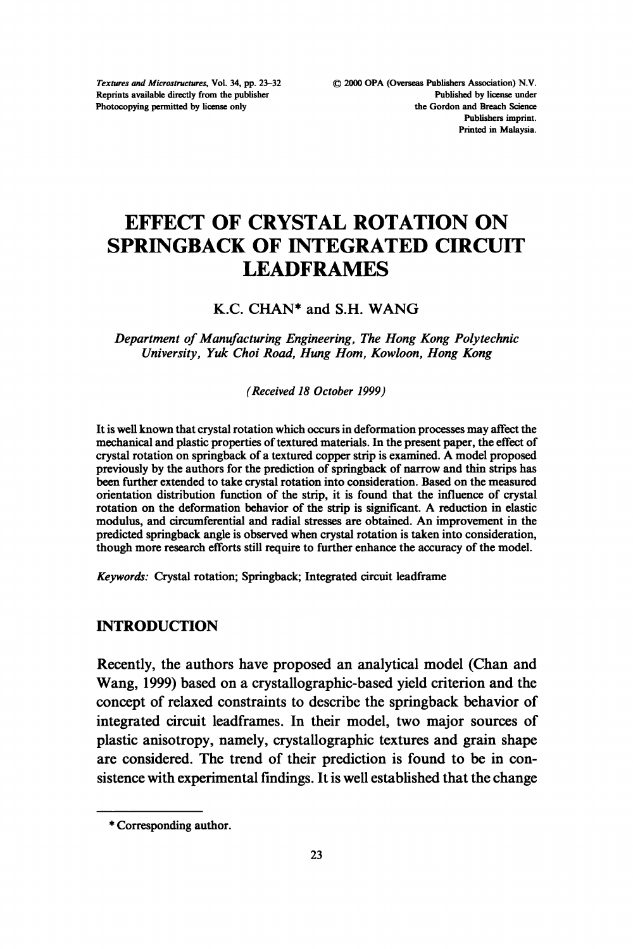Textures and Microstructures, Vol. 34, pp. 23-32 Reprints available directly from the publisher Photocopying permitted by license only

# EFFECT OF CRYSTAL ROTATION ON SPRINGBACK OF INTEGRATED CIRCUIT LEADFRAMES

#### K.C. CHAN\* and S.H. WANG

#### Department of Manufacturing Engineering, The Hong Kong Polytechnic University, Yuk Choi Road, Hung Hom, Kowloon, Hong Kong

(Received 18 October 1999)

It is well known that crystal rotation which occurs in deformation processes may affect the mechanical and plastic properties of textured materials. In the present paper, the effect of crystal rotation on springback of <sup>a</sup> textured copper strip is examined. A model proposed previously by the authors for the prediction of springback of narrow and thin strips has been further extended to take crystal rotation into consideration. Based on the measured orientation distribution function of the strip, it is found that the influence of crystal rotation on the deformation behavior of the strip is significant. A reduction in elastic modulus, and circumferential and radial stresses are obtained. An improvement in the predicted springback angle is observed when crystal rotation is taken into consideration, though more research efforts still require to further enhance the accuracy of the model.

Keywords: Crystal rotation; Springback; Integrated circuit leadframe

### INTRODUCTION

Recently, the authors have proposed an analytical model (Chan and Wang, 1999) based on a crystallographic-based yield criterion and the concept of relaxed constraints to describe the springback behavior of integrated circuit leadframes. In their model, two major sources of plastic anisotropy, namely, crystallographic textures and grain shape are considered. The trend of their prediction is found to be in consistence with experimental findings. It is well established that the change

<sup>\*</sup> Corresponding author.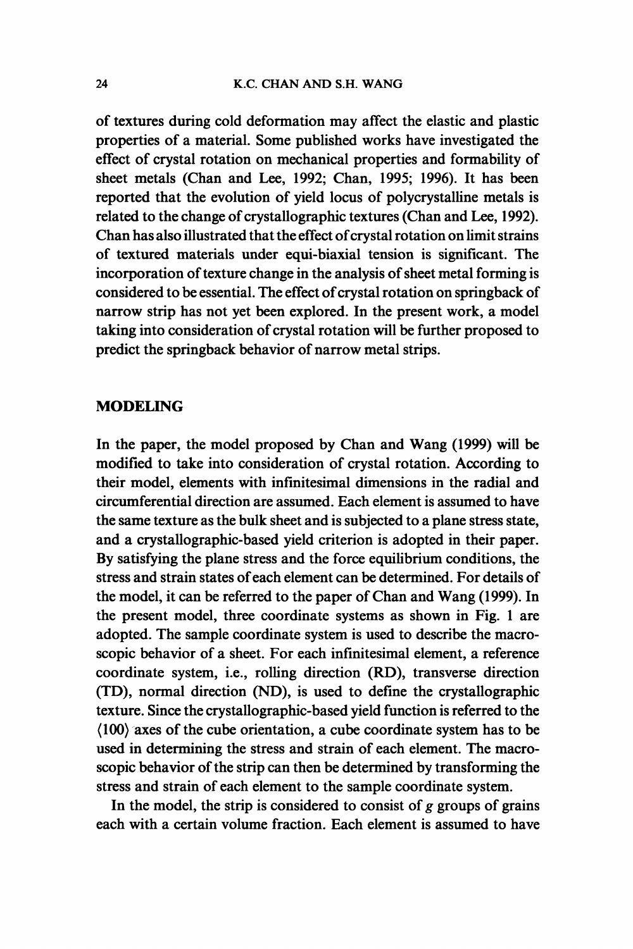of textures during cold deformation may affect the elastic and plastic properties of a material. Some published works have investigated the effect of crystal rotation on mechanical properties and formability of sheet metals (Chan and Lee, 1992; Chan, 1995; 1996). It has been reported that the evolution of yield locus of polycrystalline metals is related to the change of crystallographic textures (Chan and Lee, 1992). Chan has also illustrated that the effect of crystal rotation on limit strains of textured materials under equi-biaxial tension is significant. The incorporation of texture change in the analysis of sheet metal forming is considered to be essential. The effect of crystal rotation on springback of narrow strip has not yet been explored. In the present work, a model taking into consideration of crystal rotation will be further proposed to predict the springback behavior of narrow metal strips.

#### MODELING

In the paper, the model proposed by Chan and Wang (1999) will be modified to take into consideration of crystal rotation. According to their model, elements with infinitesimal dimensions in the radial and circumferential direction are assumed. Each element is assumed to have the same texture as the bulk sheet and is subjected to a plane stress state, and a crystallographic-based yield criterion is adopted in their paper. By satisfying the plane stress and the force equilibrium conditions, the stress and strain states ofeach element can be determined. For details of the model, it can be referred to the paper of Chan and Wang (1999). In the present model, three coordinate systems as shown in Fig. <sup>1</sup> are adopted. The sample coordinate system is used to describe the macroscopic behavior of a sheet. For each infinitesimal element, a reference coordinate system, i.e., rolling direction (RD), transverse direction (TD), normal direction (ND), is used to define the crystallographic texture. Since the crystallographic-based yield function is referred to the  $(100)$  axes of the cube orientation, a cube coordinate system has to be used in determining the stress and strain of each element. The macroscopic behavior of the strip can then be determined by transforming the stress and strain of each element to the sample coordinate system.

In the model, the strip is considered to consist of  $g$  groups of grains each with a certain volume fraction. Each element is assumed to have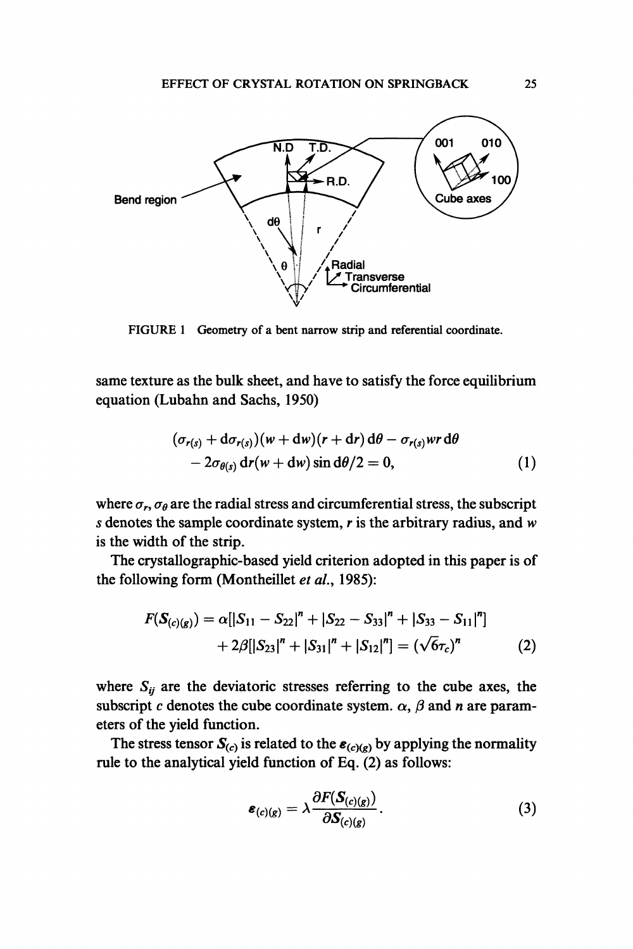

FIGURE 1 Geometry of a bent narrow strip and referential coordinate.

same texture as the bulk sheet, and have to satisfy the force equilibrium equation (Lubahn and Sachs, 1950)

$$
(\sigma_{r(s)} + d\sigma_{r(s)})(w + dw)(r + dr) d\theta - \sigma_{r(s)} wr d\theta - 2\sigma_{\theta(s)} dr(w + dw) \sin d\theta/2 = 0,
$$
 (1)

where  $\sigma_r$ ,  $\sigma_\theta$  are the radial stress and circumferential stress, the subscript s denotes the sample coordinate system,  $r$  is the arbitrary radius, and  $w$ is the width of the strip.

The crystallographic-based yield criterion adopted in this paper is of the following form (Montheillet et al., 1985):

$$
F(S_{(c)(g)}) = \alpha[|S_{11} - S_{22}|^{n} + |S_{22} - S_{33}|^{n} + |S_{33} - S_{11}|^{n}] + 2\beta[|S_{23}|^{n} + |S_{31}|^{n} + |S_{12}|^{n}] = (\sqrt{6}\tau_{c})^{n}
$$
 (2)

where  $S_{ij}$  are the deviatoric stresses referring to the cube axes, the subscript c denotes the cube coordinate system.  $\alpha$ ,  $\beta$  and n are parameters of the yield function.

The stress tensor  $S_{(c)}$  is related to the  $\varepsilon_{(c)(g)}$  by applying the normality rule to the analytical yield function of Eq. (2) as follows:

$$
\boldsymbol{\varepsilon}_{(c)(g)} = \lambda \frac{\partial F(\boldsymbol{S}_{(c)(g)})}{\partial \boldsymbol{S}_{(c)(g)}}.
$$
\n(3)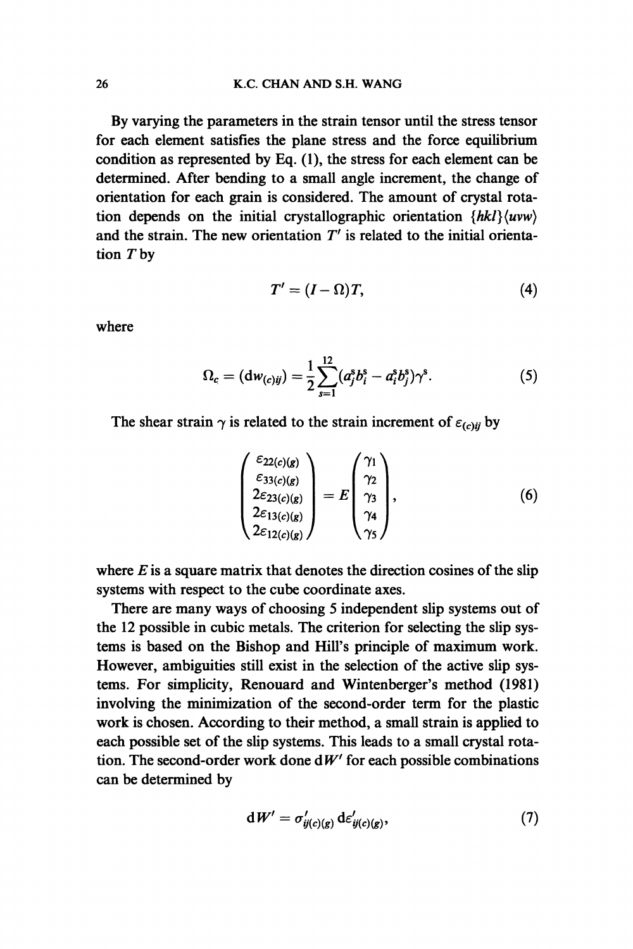By varying the parameters in the strain tensor until the stress tensor for each element satisfies the plane stress and the force equilibrium condition as represented by Eq. (1), the stress for each element can be determined. After bending to a small angle increment, the change of orientation for each grain is considered. The amount of crystal rotation depends on the initial crystallographic orientation  $\{hk\}\langle uvw\rangle$ and the strain. The new orientation  $T'$  is related to the initial orientation T by

$$
T' = (I - \Omega)T, \tag{4}
$$

where

$$
\Omega_c = (\mathrm{d}w_{(c)ij}) = \frac{1}{2} \sum_{s=1}^{12} (a_j^s b_i^s - a_i^s b_j^s) \gamma^s. \tag{5}
$$

The shear strain  $\gamma$  is related to the strain increment of  $\varepsilon_{(c)ii}$  by

$$
\begin{pmatrix} \varepsilon_{22(c)(g)} \\ \varepsilon_{33(c)(g)} \\ 2\varepsilon_{23(c)(g)} \\ 2\varepsilon_{13(c)(g)} \\ 2\varepsilon_{12(c)(g)} \end{pmatrix} = E \begin{pmatrix} \gamma_1 \\ \gamma_2 \\ \gamma_3 \\ \gamma_4 \\ \gamma_5 \end{pmatrix}, \qquad (6)
$$

where  $E$  is a square matrix that denotes the direction cosines of the slip systems with respect to the cube coordinate axes.

There are many ways of choosing 5 independent slip systems out of the 12 possible in cubic metals. The criterion for selecting the slip systems is based on the Bishop and Hill's principle of maximum work. However, ambiguities still exist in the selection of the active slip systems. For simplicity, Renouard and Wintenberger's method (1981) involving the minimization of the second-order term for the plastic work is chosen. According to their method, a small strain is applied to each possible set of the slip systems. This leads to a small crystal rotation. The second-order work done  $dW'$  for each possible combinations can be determined by

$$
\mathrm{d}W' = \sigma'_{ij(c)(g)} \, \mathrm{d}\varepsilon'_{ij(c)(g)},\tag{7}
$$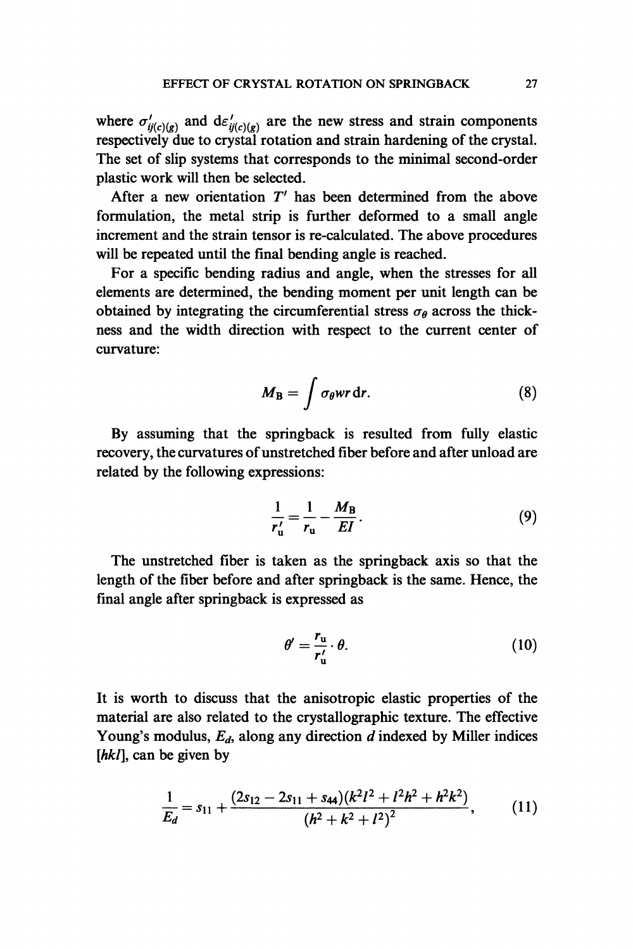where  $\sigma'_{ij(c)(g)}$  and  $d\varepsilon'_{ij(c)(g)}$  are the new stress and strain components respectively due to crystal rotation and strain hardening of the crystal. The set of slip systems that corresponds to the minimal second-order plastic work will then be selected.

After a new orientation  $T'$  has been determined from the above formulation, the metal strip is further deformed to a small angle increment and the strain tensor is re-calculated. The above procedures will be repeated until the final bending angle is reached.

For a specific bending radius and angle, when the stresses for all elements are determined, the bending moment per unit length can be obtained by integrating the circumferential stress  $\sigma_{\theta}$  across the thickness and the width direction with respect to the current center of curvature:

$$
M_{\rm B} = \int \sigma_{\theta} wr \, dr. \tag{8}
$$

By assuming that the springback is resulted from fully elastic recovery, the curvatures of unstretched fiber before and after unload are related by the following expressions:

$$
\frac{1}{r_u'} = \frac{1}{r_u} - \frac{M_B}{EI}.
$$
 (9)

The unstretched fiber is taken as the springback axis so that the length of the fiber before and after springbaek is the same. Hence, the final angle after springback is expressed as

$$
\theta' = \frac{r_{\rm u}}{r_{\rm u}'} \cdot \theta. \tag{10}
$$

It is worth to discuss that the anisotropie elastic properties of the material are also related to the crystallographic texture. The effective Young's modulus,  $E_d$ , along any direction  $d$  indexed by Miller indices  $[hkl]$ , can be given by

$$
\frac{1}{E_d}=s_{11}+\frac{(2s_{12}-2s_{11}+s_{44})(k^2l^2+l^2h^2+h^2k^2)}{(h^2+k^2+l^2)^2},
$$
 (11)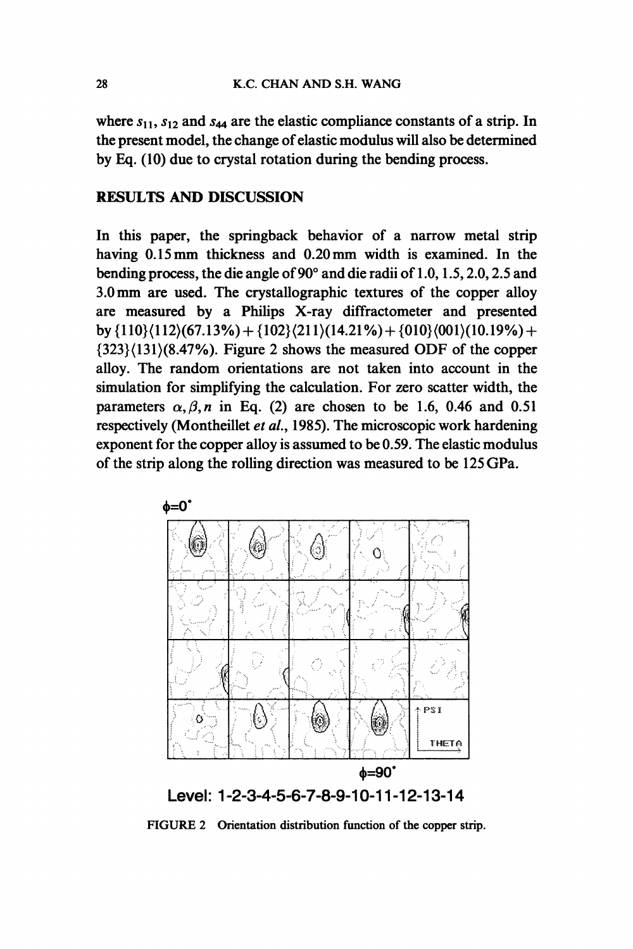where  $s_{11}$ ,  $s_{12}$  and  $s_{44}$  are the elastic compliance constants of a strip. In the present model, the change of elastic modulus will also be determined by Eq. (10) due to crystal rotation during the bending process.

## RESULTS AND DISCUSSION

In this paper, the springback behavior of a narrow metal strip having 0.15 mm thickness and 0.20 mm width is examined. In the bending process, the die angle of  $90^{\circ}$  and die radii of 1.0, 1.5, 2.0, 2.5 and 3.0mm are used. The crystallographic textures of the copper alloy are measured by a Philips X-ray diffractometer and presented by  $\{110\}(112)(67.13\%) + \{102\}(211)(14.21\%) + \{010\}(001)(10.19\%) +$ {323}(131)(8.47%). Figure <sup>2</sup> shows the measured ODF of the copper alloy. The random orientations are not taken into account in the simulation for simplifying the calculation. For zero scatter width, the parameters  $\alpha$ ,  $\beta$ , n in Eq. (2) are chosen to be 1.6, 0.46 and 0.51 respectively (Montheillet et al., 1985). The microscopic work hardening exponent for the copper alloy is assumed to be 0.59. The elastic modulus of the strip along the rolling direction was measured to be 125 GPa.



FIGURE 2 Orientation distribution function of the copper strip.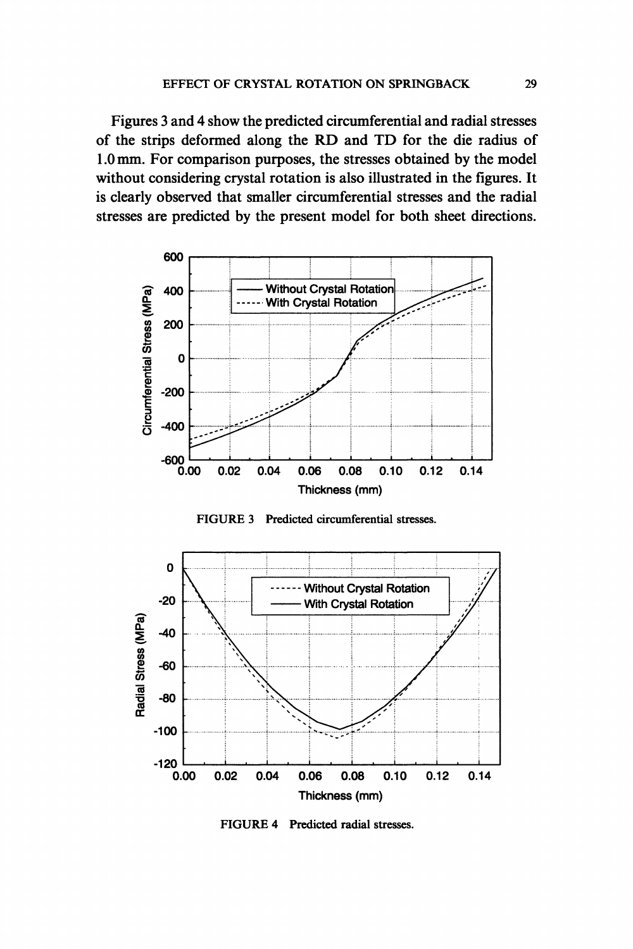Figures 3 and 4 show the predicted circumferential and radial stresses of the strips deformed along the RD and TD for the die radius of 1.0 mm. For comparison purposes, the stresses obtained by the model without considering crystal rotation is also illustrated in the figures. It is clearly observed that smaller circumferential stresses and the radial stresses are predicted by the present model for both sheet directions.







FIGURE 4 Predicted radial stresses.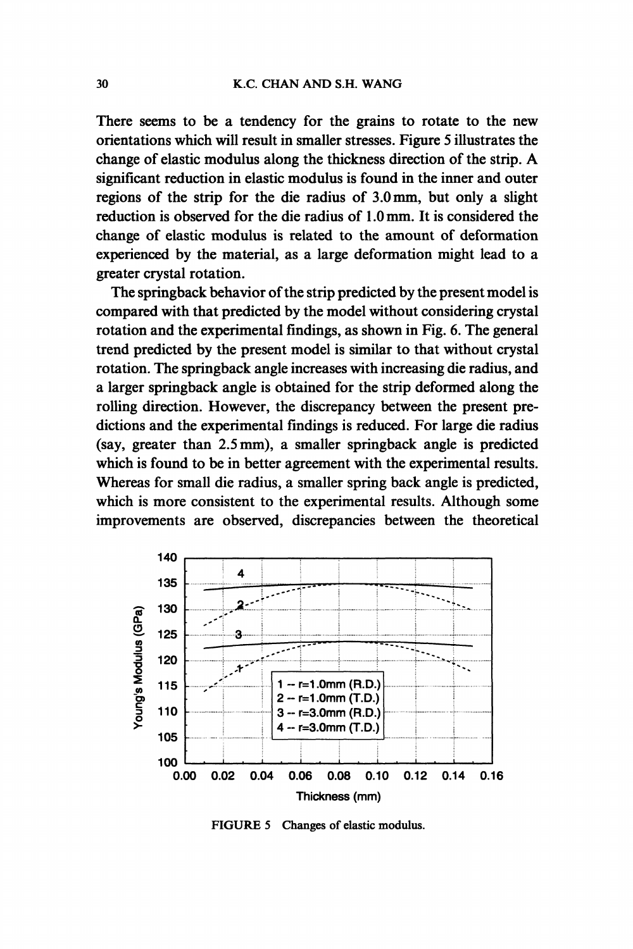There seems to be a tendency for the grains to rotate to the new orientations which will result in smaller stresses. Figure 5 illustrates the change of elastic modulus along the thickness direction of the strip. A significant reduction in elastic modulus is found in the inner and outer regions of the strip for the die radius of 3.0mm, but only a slight reduction is observed for the die radius of 1.0 mm. It is considered the change of elastic modulus is related to the amount of deformation experienced by the material, as a large deformation might lead to a greater crystal rotation.

The springback behavior of the strip predicted by the present model is compared with that predicted by the model without considering crystal rotation and the experimental findings, as shown in Fig. 6. The general trend predicted by the present model is similar to that without crystal rotation. The springback angle increases with increasing die radius, and a larger springback angle is obtained for the strip deformed along the rolling direction. However, the discrepancy between the present predictions and the experimental findings is reduced. For large die radius (say, greater than 2.5 mm), a smaller springback angle is predicted which is found to be in better agreement with the experimental results. Whereas for small die radius, a smaller spring back angle is predicted, which is more consistent to the experimental results. Although some improvements are observed, discrepancies between the theoretical



FIGURE <sup>5</sup> Changes of elastic modulus.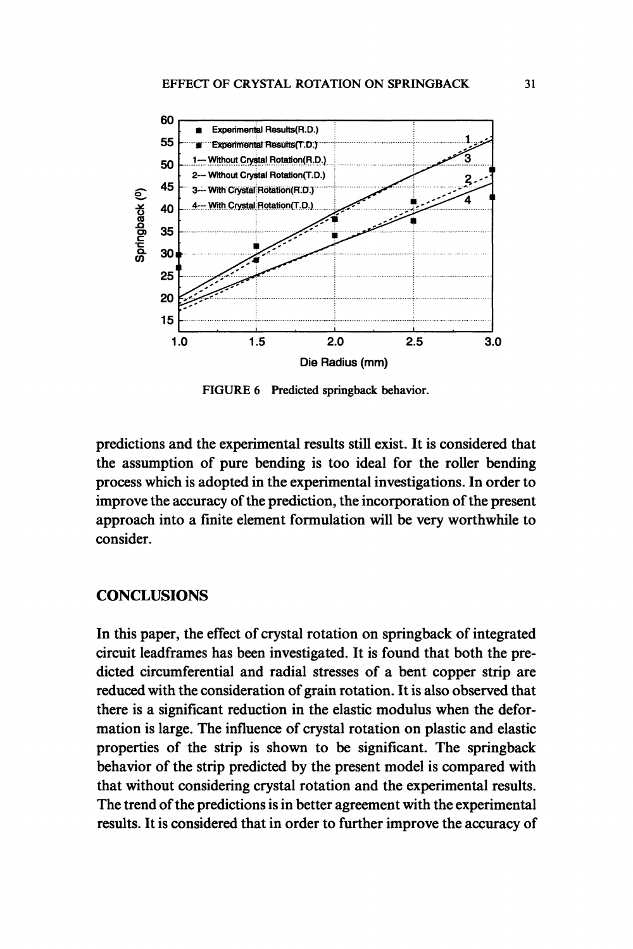

FIGURE 6 Predicted springback behavior.

predictions and the experimental results still exist. It is considered that the assumption of pure bending is too ideal for the roller bending process which is adopted in the experimental investigations. In order to improve the accuracy of the prediction, the incorporation of the present approach into a finite element formulation will be very worthwhile to consider.

#### **CONCLUSIONS**

In this paper, the effect of crystal rotation on springback of integrated circuit leadframes has been investigated. It is found that both the predicted circumferential and radial stresses of a bent copper strip are reduced with the consideration of grain rotation. It is also observed that there is a significant reduction in the elastic modulus when the deformation is large. The influence of crystal rotation on plastic and elastic properties of the strip is shown to be significant. The springback behavior of the strip predicted by the present model is compared with that without considering crystal rotation and the experimental results. The trend of the predictions is in better agreement with the experimental results. It is considered that in order to further improve the accuracy of